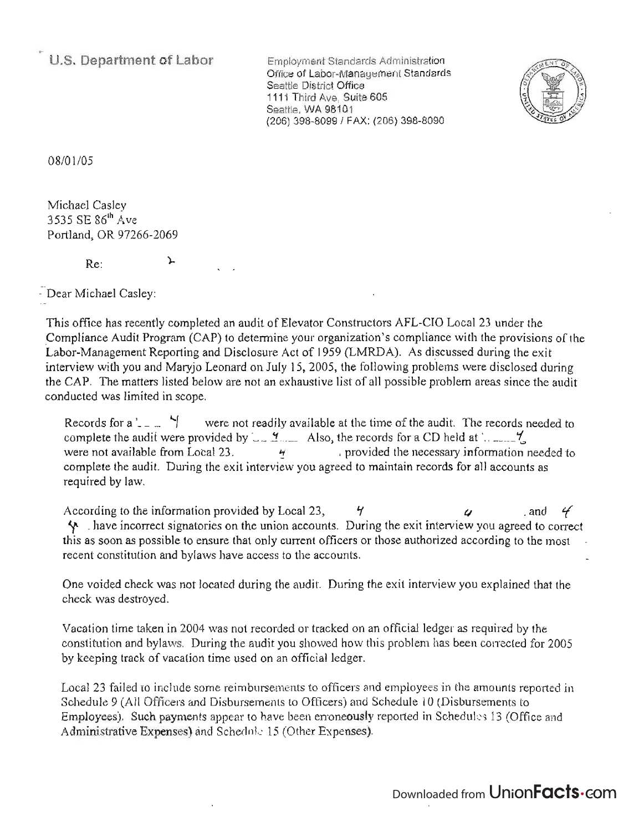**U.S. Department of Labor** 

Employment Standards Administration Office of Labor-Management Standards Seattle District Office 1111 Third Ave, Suite 605 Seattle, WA 98101 (206) 398-8099/ FAX: (206) 398-8090



08/01/05

Michael Casley 3535 SE 86th Ave Portland, OR 97266-2069

> $\mathbf{L}$ Re:

- Dear Michael Casley:

This office has recently completed an audit of Elevator Constructors AFL-CIO Local 23 under the ' \_Compliance Audit Program (CAP) to determine your organization's compliance with the provisions of the Labor-Management Reporting and Disclosure Act of 1959 (LMRDA). As discussed during the exit interview with you and Maryjo Leonard on July 15, 2005, the following problems were disclosed during the CAP. The matters listed below are not an exhaustive list of all possible problem areas since the audit conducted was limited in scope.

Records for a ' $\angle$   $\Box$   $\Box$  were not readily available at the time of the audit. The records needed to complete the audit were provided by  $\Box$   $\Box$   $\Box$  Also, the records for a CD held at  $\Box$ were not available from Local 23.  $\cdot$   $\cdot$   $\cdot$  provided the necessary information needed to complete the audit. During the exit interview you agreed to maintain records for all accounts as required by law.

According to the information provided by Local 23,  $\frac{4}{7}$   $\frac{4}{7}$  and  $\frac{4}{7}$ y. \_ have incorrect signatories on the union accounts. During the exit interview you agreed to correct this as soon as possible to ensure that only current officers or those authorized according to the most recent constitution and bylaws have access to the accounts.

One voided check was not located during the audit. During the exit interview you explained that the check was destroyed.

Vacation time taken in 2004 was not recorded or tracked on an official ledger as required by the constitution and bylaws. During the audit you showed how this problem has been corrected for 2005 by keeping track of vacation time used on an official ledger.

Local 23 failed to include some reimbursements to officers and employees in the amounts reported in Schedule 9 (All Officers and Disbursements to Officers) and Schedule 10 (Disbursements to Employees). Such payments appear to have been erroneously reported in Schedules 13 (Office and Administrative Expenses) and Schedule 15 (Other Expenses).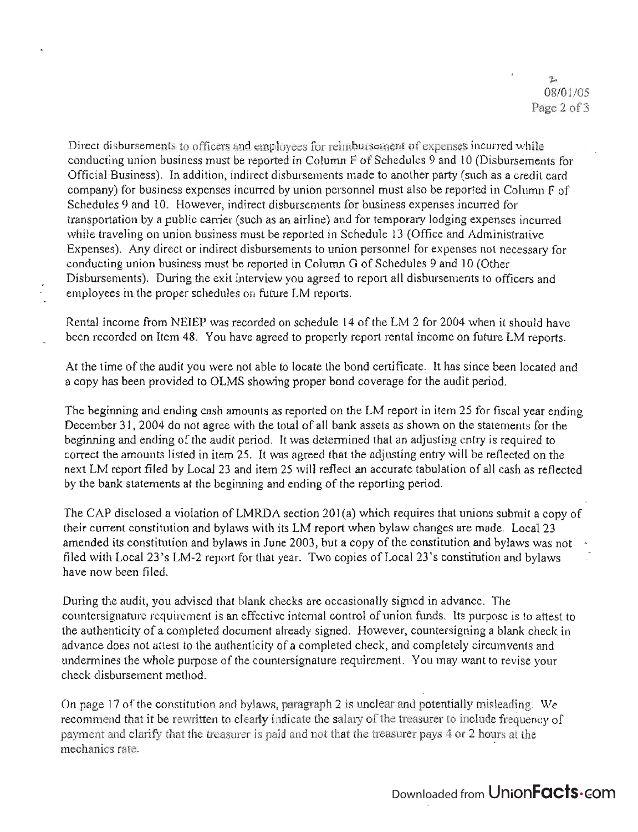Direct disbursements to officers and employees for reimbursement of expenses incuned while conducting union business must be reported in Column F of Schedules 9 and 10 (Disbursements for Official Business). In addition, indirect disbursements made to another party (such as a credit card company) for business expenses incurred by union personnel must also be reported in Column  $F$  of Schedules 9 and 10. However, indirect disbursements for business expenses incurred for transportation by a public carrier (such as an airline) and for temporary lodging expenses incurred while traveling on union business must be reported in Schedule 13 (Office and Administrative Expenses). Any direct or indirect disbursements to union personnel for expenses not necessary for conducting union business must be reported in Column G of Schedules 9 and 10 (Other Disbursements). During the exit interview you agreed to report all disbursements to officers and employees in the proper schedules on future LM reports.

Rental income from NEIEP was recorded on schedule 14 of the LM 2 for 2004 when it should have been recorded on Item 48. You have agreed to properly report rental income on future LM reports.

At the time of the audit you were not able to locate the bond certificate. It has since been located and a copy has been provided to OLMS showing proper bond coverage for the audit period.

The beginning and ending cash amounts as reported on the LM report in item 25 for fiscal year ending December 31, 2004 do not agree with the total of all bank assets as shown on the statements for the beginning and ending of the audit period. It was determined that an adjusting entry is required to correct the amounts listed in item 25. It was agreed that the adjusting entry will be reflected on the next LM report filed by Local 23 and item 25 will reflect an accurate tabulation of all cash as reflected by the bank statements at the beginning and ending of the reporting period.

The CAP disclosed a violation of LMRDA section 201(a) which requires that unions submit a copy of their current constitution and bylaws with its LM report when bylaw changes are made. Local 23 amended its constitution and bylaws in June 2003, but a copy of the constitution and bylaws was not filed with Local 23's LM-2 report for that year. Two copies of Local 23's constitution and bylaws have now been filed.

During the audit, you advised that blank checks are occasionally signed in advance. The countersignature requirement is an effective internal control of union funds. Its purpose is to attest to the authenticity of a completed document already signed. However, countersigning a blank check in advance does not attest to the authenticity of a completed check, and completely circumvents and undermines the whole purpose of the countersignature requirement. You may want to revise your check disbursement method.

On page 17 of the constitution and bylaws, paragraph 2 is unclear and potentially misleading. We recommend that it be rewritten to clearly indicate the salary of the treasurer to include frequency of payment and clarify that the treasurer is paid and not that the treasurer pays 4 or 2 hours at the mechanics rate. .